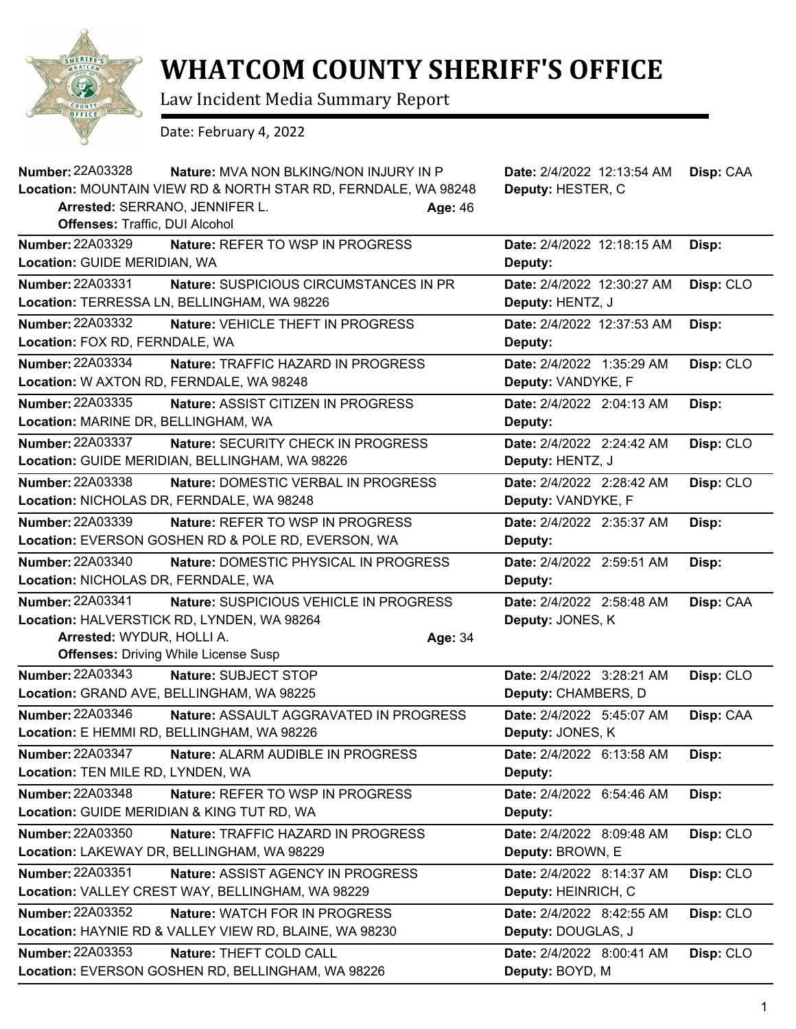

## **WHATCOM COUNTY SHERIFF'S OFFICE**

Law Incident Media Summary Report

Date: February 4, 2022

| <b>Number: 22A03328</b><br>Nature: MVA NON BLKING/NON INJURY IN P<br>Location: MOUNTAIN VIEW RD & NORTH STAR RD, FERNDALE, WA 98248<br>Arrested: SERRANO, JENNIFER L.<br><b>Offenses: Traffic, DUI Alcohol</b> | Age: 46 | Date: 2/4/2022 12:13:54 AM<br>Deputy: HESTER, C  | Disp: CAA |
|----------------------------------------------------------------------------------------------------------------------------------------------------------------------------------------------------------------|---------|--------------------------------------------------|-----------|
| <b>Number: 22A03329</b><br>Nature: REFER TO WSP IN PROGRESS<br>Location: GUIDE MERIDIAN, WA                                                                                                                    |         | Date: 2/4/2022 12:18:15 AM<br>Deputy:            | Disp:     |
| Number: 22A03331<br><b>Nature: SUSPICIOUS CIRCUMSTANCES IN PR</b><br>Location: TERRESSA LN, BELLINGHAM, WA 98226                                                                                               |         | Date: 2/4/2022 12:30:27 AM<br>Deputy: HENTZ, J   | Disp: CLO |
| <b>Number: 22A03332</b><br>Nature: VEHICLE THEFT IN PROGRESS<br>Location: FOX RD, FERNDALE, WA                                                                                                                 |         | Date: 2/4/2022 12:37:53 AM<br>Deputy:            | Disp:     |
| <b>Number: 22A03334</b><br><b>Nature: TRAFFIC HAZARD IN PROGRESS</b><br>Location: W AXTON RD, FERNDALE, WA 98248                                                                                               |         | Date: 2/4/2022 1:35:29 AM<br>Deputy: VANDYKE, F  | Disp: CLO |
| <b>Number: 22A03335</b><br>Nature: ASSIST CITIZEN IN PROGRESS<br>Location: MARINE DR, BELLINGHAM, WA                                                                                                           |         | Date: 2/4/2022 2:04:13 AM<br>Deputy:             | Disp:     |
| <b>Number: 22A03337</b><br>Nature: SECURITY CHECK IN PROGRESS<br>Location: GUIDE MERIDIAN, BELLINGHAM, WA 98226                                                                                                |         | Date: 2/4/2022 2:24:42 AM<br>Deputy: HENTZ, J    | Disp: CLO |
| <b>Number: 22A03338</b><br>Nature: DOMESTIC VERBAL IN PROGRESS<br>Location: NICHOLAS DR, FERNDALE, WA 98248                                                                                                    |         | Date: 2/4/2022 2:28:42 AM<br>Deputy: VANDYKE, F  | Disp: CLO |
| <b>Number: 22A03339</b><br><b>Nature: REFER TO WSP IN PROGRESS</b><br>Location: EVERSON GOSHEN RD & POLE RD, EVERSON, WA                                                                                       |         | Date: 2/4/2022 2:35:37 AM<br>Deputy:             | Disp:     |
| <b>Number: 22A03340</b><br>Nature: DOMESTIC PHYSICAL IN PROGRESS<br>Location: NICHOLAS DR, FERNDALE, WA                                                                                                        |         | Date: 2/4/2022 2:59:51 AM<br>Deputy:             | Disp:     |
| <b>Number: 22A03341</b><br>Nature: SUSPICIOUS VEHICLE IN PROGRESS<br>Location: HALVERSTICK RD, LYNDEN, WA 98264<br>Arrested: WYDUR, HOLLI A.<br><b>Offenses: Driving While License Susp</b>                    | Age: 34 | Date: 2/4/2022 2:58:48 AM<br>Deputy: JONES, K    | Disp: CAA |
| <b>Number: 22A03343</b><br>Nature: SUBJECT STOP<br>Location: GRAND AVE, BELLINGHAM, WA 98225                                                                                                                   |         | Date: 2/4/2022 3:28:21 AM<br>Deputy: CHAMBERS, D | Disp: CLO |
| <b>Number: 22A03346</b><br><b>Nature: ASSAULT AGGRAVATED IN PROGRESS</b><br>Location: E HEMMI RD, BELLINGHAM, WA 98226                                                                                         |         | Date: 2/4/2022 5:45:07 AM<br>Deputy: JONES, K    | Disp: CAA |
| Number: 22A03347<br>Nature: ALARM AUDIBLE IN PROGRESS<br>Location: TEN MILE RD, LYNDEN, WA                                                                                                                     |         | Date: 2/4/2022 6:13:58 AM<br>Deputy:             | Disp:     |
| <b>Number: 22A03348</b><br><b>Nature: REFER TO WSP IN PROGRESS</b><br>Location: GUIDE MERIDIAN & KING TUT RD, WA                                                                                               |         | Date: 2/4/2022 6:54:46 AM<br>Deputy:             | Disp:     |
| Number: 22A03350<br>Nature: TRAFFIC HAZARD IN PROGRESS<br>Location: LAKEWAY DR, BELLINGHAM, WA 98229                                                                                                           |         | Date: 2/4/2022 8:09:48 AM<br>Deputy: BROWN, E    | Disp: CLO |
| Number: 22A03351<br>Nature: ASSIST AGENCY IN PROGRESS<br>Location: VALLEY CREST WAY, BELLINGHAM, WA 98229                                                                                                      |         | Date: 2/4/2022 8:14:37 AM<br>Deputy: HEINRICH, C | Disp: CLO |
| Number: 22A03352<br>Nature: WATCH FOR IN PROGRESS<br>Location: HAYNIE RD & VALLEY VIEW RD, BLAINE, WA 98230                                                                                                    |         | Date: 2/4/2022 8:42:55 AM<br>Deputy: DOUGLAS, J  | Disp: CLO |
| Number: 22A03353<br>Nature: THEFT COLD CALL<br>Location: EVERSON GOSHEN RD, BELLINGHAM, WA 98226                                                                                                               |         | Date: 2/4/2022 8:00:41 AM<br>Deputy: BOYD, M     | Disp: CLO |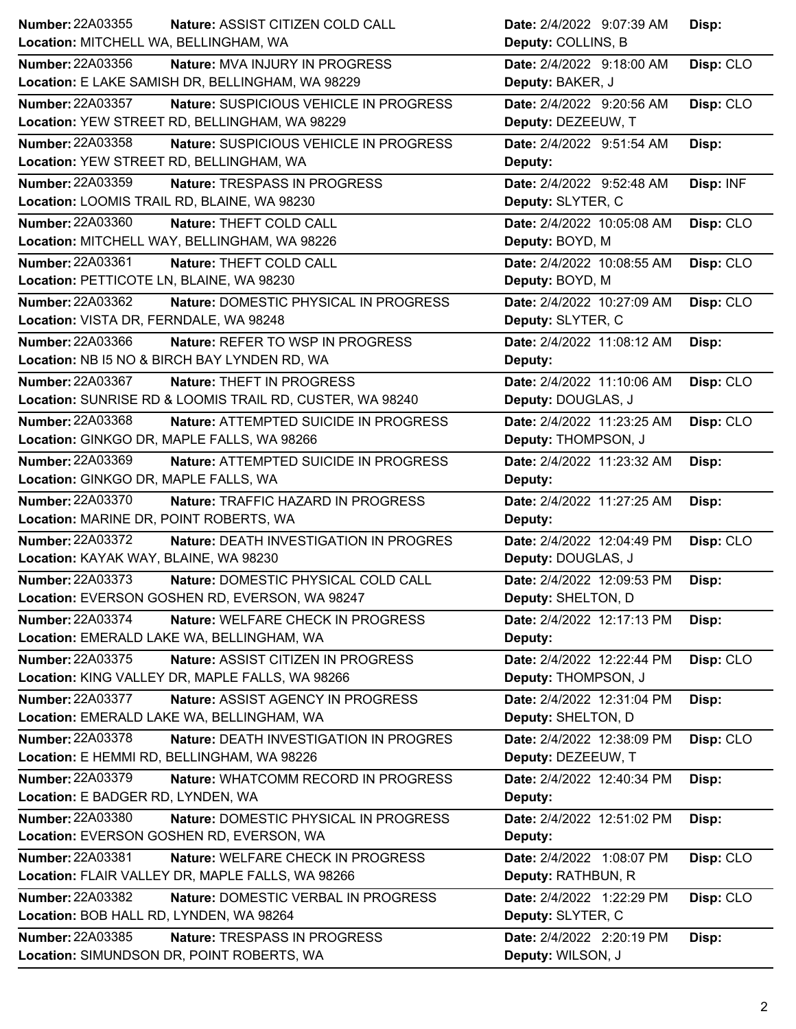| Number: 22A03355                                         | Date: 2/4/2022 9:07:39 AM  |
|----------------------------------------------------------|----------------------------|
| Nature: ASSIST CITIZEN COLD CALL                         | Disp:                      |
| Location: MITCHELL WA, BELLINGHAM, WA                    | Deputy: COLLINS, B         |
| <b>Number: 22A03356</b>                                  | Disp: CLO                  |
| Nature: MVA INJURY IN PROGRESS                           | Date: 2/4/2022 9:18:00 AM  |
| Location: E LAKE SAMISH DR, BELLINGHAM, WA 98229         | Deputy: BAKER, J           |
| Number: 22A03357                                         | Disp: CLO                  |
| Nature: SUSPICIOUS VEHICLE IN PROGRESS                   | Date: 2/4/2022 9:20:56 AM  |
| Location: YEW STREET RD, BELLINGHAM, WA 98229            | Deputy: DEZEEUW, T         |
| <b>Number: 22A03358</b>                                  | Date: 2/4/2022 9:51:54 AM  |
| Nature: SUSPICIOUS VEHICLE IN PROGRESS                   | Disp:                      |
| Location: YEW STREET RD, BELLINGHAM, WA                  | Deputy:                    |
| <b>Number: 22A03359</b>                                  | Date: 2/4/2022 9:52:48 AM  |
| Nature: TRESPASS IN PROGRESS                             | Disp: INF                  |
| Location: LOOMIS TRAIL RD, BLAINE, WA 98230              | Deputy: SLYTER, C          |
| Number: 22A03360                                         | Date: 2/4/2022 10:05:08 AM |
| Nature: THEFT COLD CALL                                  | Disp: CLO                  |
| Location: MITCHELL WAY, BELLINGHAM, WA 98226             | Deputy: BOYD, M            |
| Number: 22A03361                                         | Date: 2/4/2022 10:08:55 AM |
| Nature: THEFT COLD CALL                                  | Disp: CLO                  |
| Location: PETTICOTE LN, BLAINE, WA 98230                 | Deputy: BOYD, M            |
| Number: 22A03362                                         | Date: 2/4/2022 10:27:09 AM |
| Nature: DOMESTIC PHYSICAL IN PROGRESS                    | Disp: CLO                  |
| Location: VISTA DR, FERNDALE, WA 98248                   | Deputy: SLYTER, C          |
| Number: 22A03366                                         | Date: 2/4/2022 11:08:12 AM |
| <b>Nature: REFER TO WSP IN PROGRESS</b>                  | Disp:                      |
| Location: NB I5 NO & BIRCH BAY LYNDEN RD, WA             | Deputy:                    |
| Number: 22A03367                                         | Date: 2/4/2022 11:10:06 AM |
| Nature: THEFT IN PROGRESS                                | Disp: CLO                  |
| Location: SUNRISE RD & LOOMIS TRAIL RD, CUSTER, WA 98240 | Deputy: DOUGLAS, J         |
| <b>Number: 22A03368</b>                                  | Date: 2/4/2022 11:23:25 AM |
| <b>Nature: ATTEMPTED SUICIDE IN PROGRESS</b>             | Disp: CLO                  |
| Location: GINKGO DR, MAPLE FALLS, WA 98266               | Deputy: THOMPSON, J        |
| Number: 22A03369                                         | Date: 2/4/2022 11:23:32 AM |
| Nature: ATTEMPTED SUICIDE IN PROGRESS                    | Disp:                      |
| Location: GINKGO DR, MAPLE FALLS, WA                     | Deputy:                    |
|                                                          |                            |
| Number: 22A03370                                         | Date: 2/4/2022 11:27:25 AM |
| Nature: TRAFFIC HAZARD IN PROGRESS                       | Disp:                      |
| Location: MARINE DR, POINT ROBERTS, WA                   | Deputy:                    |
| Number: 22A03372                                         | Date: 2/4/2022 12:04:49 PM |
| Nature: DEATH INVESTIGATION IN PROGRES                   | Disp: CLO                  |
| Location: KAYAK WAY, BLAINE, WA 98230                    | Deputy: DOUGLAS, J         |
| <b>Number: 22A03373</b>                                  | Date: 2/4/2022 12:09:53 PM |
| Nature: DOMESTIC PHYSICAL COLD CALL                      | Disp:                      |
| Location: EVERSON GOSHEN RD, EVERSON, WA 98247           | Deputy: SHELTON, D         |
| <b>Number: 22A03374</b>                                  | Date: 2/4/2022 12:17:13 PM |
| Nature: WELFARE CHECK IN PROGRESS                        | Disp:                      |
| Location: EMERALD LAKE WA, BELLINGHAM, WA                | Deputy:                    |
| Number: 22A03375                                         | Disp: CLO                  |
| Nature: ASSIST CITIZEN IN PROGRESS                       | Date: 2/4/2022 12:22:44 PM |
| Location: KING VALLEY DR, MAPLE FALLS, WA 98266          | Deputy: THOMPSON, J        |
| Number: 22A03377                                         | Date: 2/4/2022 12:31:04 PM |
| Nature: ASSIST AGENCY IN PROGRESS                        | Disp:                      |
| Location: EMERALD LAKE WA, BELLINGHAM, WA                | Deputy: SHELTON, D         |
| <b>Number: 22A03378</b>                                  | Date: 2/4/2022 12:38:09 PM |
| Nature: DEATH INVESTIGATION IN PROGRES                   | Disp: CLO                  |
| Location: E HEMMI RD, BELLINGHAM, WA 98226               | Deputy: DEZEEUW, T         |
| Number: 22A03379                                         | Date: 2/4/2022 12:40:34 PM |
| Nature: WHATCOMM RECORD IN PROGRESS                      | Disp:                      |
| Location: E BADGER RD, LYNDEN, WA                        | Deputy:                    |
| <b>Number: 22A03380</b>                                  | Date: 2/4/2022 12:51:02 PM |
| Nature: DOMESTIC PHYSICAL IN PROGRESS                    | Disp:                      |
| Location: EVERSON GOSHEN RD, EVERSON, WA                 | Deputy:                    |
| <b>Number: 22A03381</b>                                  | Date: 2/4/2022 1:08:07 PM  |
| Nature: WELFARE CHECK IN PROGRESS                        | Disp: CLO                  |
| Location: FLAIR VALLEY DR, MAPLE FALLS, WA 98266         | Deputy: RATHBUN, R         |
| Number: 22A03382                                         | Date: 2/4/2022 1:22:29 PM  |
| Nature: DOMESTIC VERBAL IN PROGRESS                      | Disp: CLO                  |
| Location: BOB HALL RD, LYNDEN, WA 98264                  | Deputy: SLYTER, C          |
| Number: 22A03385                                         | Date: 2/4/2022 2:20:19 PM  |
| Nature: TRESPASS IN PROGRESS                             | Disp:                      |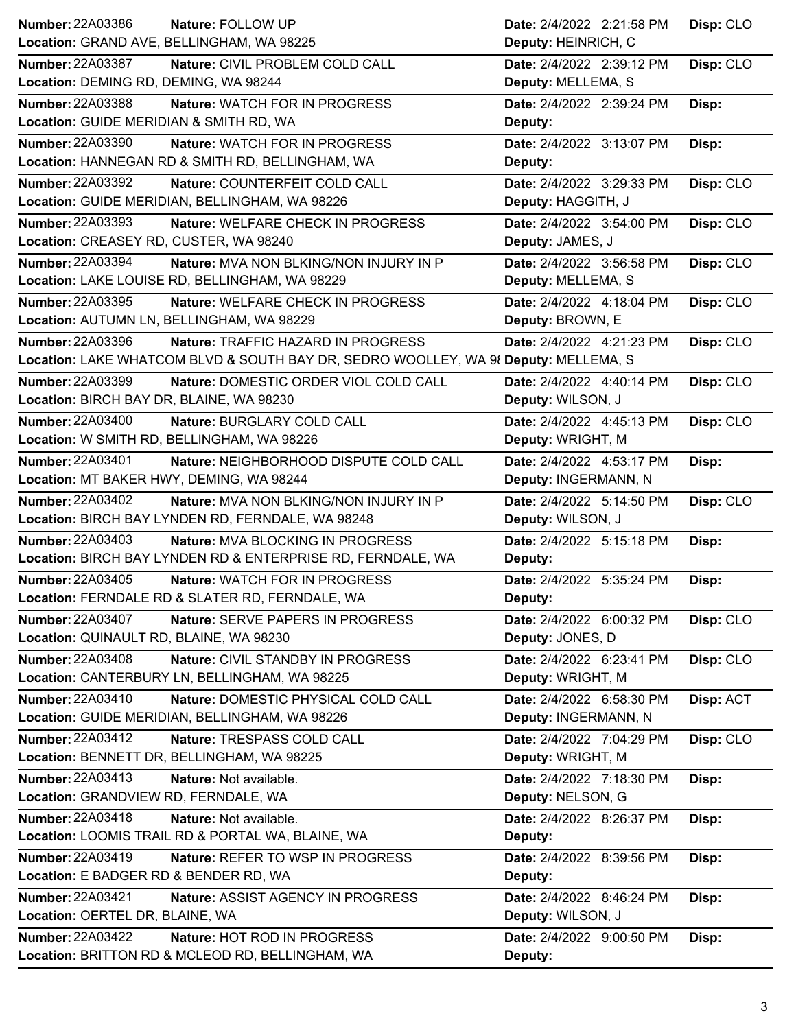| <b>Number: 22A03386</b><br>Nature: FOLLOW UP                                        | Date: 2/4/2022 2:21:58 PM | Disp: CLO |
|-------------------------------------------------------------------------------------|---------------------------|-----------|
| Location: GRAND AVE, BELLINGHAM, WA 98225                                           | Deputy: HEINRICH, C       |           |
| <b>Number: 22A03387</b><br>Nature: CIVIL PROBLEM COLD CALL                          | Date: 2/4/2022 2:39:12 PM | Disp: CLO |
| Location: DEMING RD, DEMING, WA 98244                                               | Deputy: MELLEMA, S        |           |
| <b>Number: 22A03388</b><br>Nature: WATCH FOR IN PROGRESS                            | Date: 2/4/2022 2:39:24 PM | Disp:     |
| Location: GUIDE MERIDIAN & SMITH RD, WA                                             | Deputy:                   |           |
| <b>Number: 22A03390</b><br><b>Nature: WATCH FOR IN PROGRESS</b>                     | Date: 2/4/2022 3:13:07 PM | Disp:     |
| Location: HANNEGAN RD & SMITH RD, BELLINGHAM, WA                                    | Deputy:                   |           |
| <b>Number: 22A03392</b><br>Nature: COUNTERFEIT COLD CALL                            | Date: 2/4/2022 3:29:33 PM | Disp: CLO |
| Location: GUIDE MERIDIAN, BELLINGHAM, WA 98226                                      | Deputy: HAGGITH, J        |           |
| Number: 22A03393<br>Nature: WELFARE CHECK IN PROGRESS                               | Date: 2/4/2022 3:54:00 PM | Disp: CLO |
| Location: CREASEY RD, CUSTER, WA 98240                                              | Deputy: JAMES, J          |           |
| Number: 22A03394<br>Nature: MVA NON BLKING/NON INJURY IN P                          | Date: 2/4/2022 3:56:58 PM | Disp: CLO |
| Location: LAKE LOUISE RD, BELLINGHAM, WA 98229                                      | Deputy: MELLEMA, S        |           |
| Number: 22A03395<br>Nature: WELFARE CHECK IN PROGRESS                               | Date: 2/4/2022 4:18:04 PM | Disp: CLO |
| Location: AUTUMN LN, BELLINGHAM, WA 98229                                           | Deputy: BROWN, E          |           |
| <b>Number: 22A03396</b><br><b>Nature: TRAFFIC HAZARD IN PROGRESS</b>                | Date: 2/4/2022 4:21:23 PM | Disp: CLO |
| Location: LAKE WHATCOM BLVD & SOUTH BAY DR, SEDRO WOOLLEY, WA 98 Deputy: MELLEMA, S |                           |           |
| Number: 22A03399<br>Nature: DOMESTIC ORDER VIOL COLD CALL                           | Date: 2/4/2022 4:40:14 PM | Disp: CLO |
| Location: BIRCH BAY DR, BLAINE, WA 98230                                            | Deputy: WILSON, J         |           |
| <b>Number: 22A03400</b><br>Nature: BURGLARY COLD CALL                               | Date: 2/4/2022 4:45:13 PM | Disp: CLO |
| Location: W SMITH RD, BELLINGHAM, WA 98226                                          | Deputy: WRIGHT, M         |           |
| Number: 22A03401<br>Nature: NEIGHBORHOOD DISPUTE COLD CALL                          | Date: 2/4/2022 4:53:17 PM | Disp:     |
| Location: MT BAKER HWY, DEMING, WA 98244                                            | Deputy: INGERMANN, N      |           |
|                                                                                     |                           |           |
| <b>Number: 22A03402</b><br><b>Nature: MVA NON BLKING/NON INJURY IN P</b>            | Date: 2/4/2022 5:14:50 PM | Disp: CLO |
| Location: BIRCH BAY LYNDEN RD, FERNDALE, WA 98248                                   | Deputy: WILSON, J         |           |
| <b>Number: 22A03403</b><br>Nature: MVA BLOCKING IN PROGRESS                         | Date: 2/4/2022 5:15:18 PM | Disp:     |
| Location: BIRCH BAY LYNDEN RD & ENTERPRISE RD, FERNDALE, WA                         | Deputy:                   |           |
| <b>Number: 22A03405</b><br>Nature: WATCH FOR IN PROGRESS                            | Date: 2/4/2022 5:35:24 PM | Disp:     |
| Location: FERNDALE RD & SLATER RD, FERNDALE, WA                                     | Deputy:                   |           |
| <b>Number: 22A03407</b><br>Nature: SERVE PAPERS IN PROGRESS                         | Date: 2/4/2022 6:00:32 PM | Disp: CLO |
| Location: QUINAULT RD, BLAINE, WA 98230                                             | Deputy: JONES, D          |           |
| Number: 22A03408<br>Nature: CIVIL STANDBY IN PROGRESS                               | Date: 2/4/2022 6:23:41 PM | Disp: CLO |
| Location: CANTERBURY LN, BELLINGHAM, WA 98225                                       | Deputy: WRIGHT, M         |           |
| Number: 22A03410<br>Nature: DOMESTIC PHYSICAL COLD CALL                             | Date: 2/4/2022 6:58:30 PM | Disp: ACT |
| Location: GUIDE MERIDIAN, BELLINGHAM, WA 98226                                      | Deputy: INGERMANN, N      |           |
| Number: 22A03412<br>Nature: TRESPASS COLD CALL                                      | Date: 2/4/2022 7:04:29 PM | Disp: CLO |
| Location: BENNETT DR, BELLINGHAM, WA 98225                                          | Deputy: WRIGHT, M         |           |
| Number: 22A03413<br>Nature: Not available.                                          | Date: 2/4/2022 7:18:30 PM | Disp:     |
| Location: GRANDVIEW RD, FERNDALE, WA                                                | Deputy: NELSON, G         |           |
| Number: 22A03418<br>Nature: Not available.                                          | Date: 2/4/2022 8:26:37 PM | Disp:     |
| Location: LOOMIS TRAIL RD & PORTAL WA, BLAINE, WA                                   | Deputy:                   |           |
| Number: 22A03419<br>Nature: REFER TO WSP IN PROGRESS                                | Date: 2/4/2022 8:39:56 PM | Disp:     |
| Location: E BADGER RD & BENDER RD, WA                                               | Deputy:                   |           |
| <b>Number: 22A03421</b><br>Nature: ASSIST AGENCY IN PROGRESS                        | Date: 2/4/2022 8:46:24 PM | Disp:     |
| Location: OERTEL DR, BLAINE, WA                                                     | Deputy: WILSON, J         |           |
| <b>Number: 22A03422</b><br>Nature: HOT ROD IN PROGRESS                              | Date: 2/4/2022 9:00:50 PM | Disp:     |